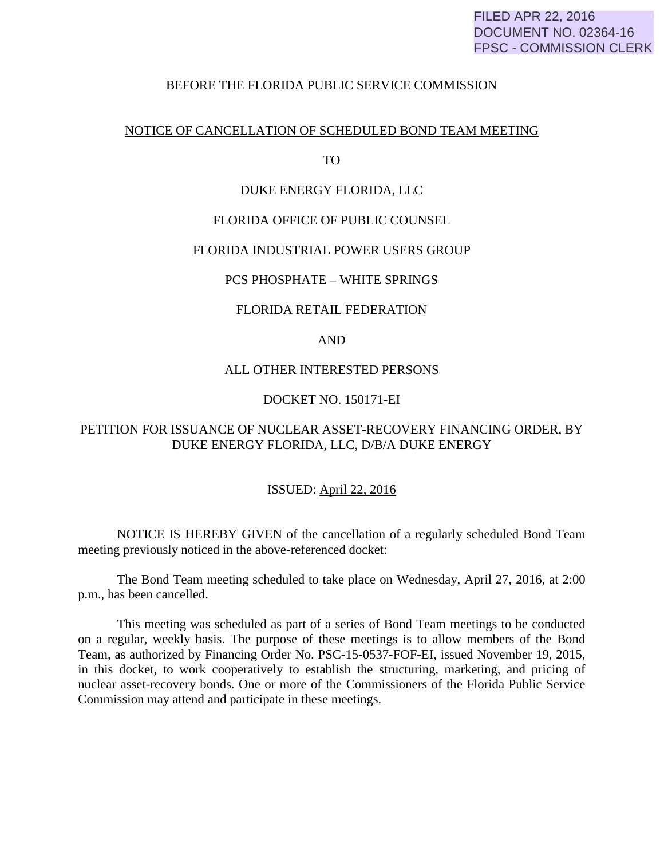# BEFORE THE FLORIDA PUBLIC SERVICE COMMISSION

## NOTICE OF CANCELLATION OF SCHEDULED BOND TEAM MEETING

TO

# DUKE ENERGY FLORIDA, LLC

# FLORIDA OFFICE OF PUBLIC COUNSEL

## FLORIDA INDUSTRIAL POWER USERS GROUP

## PCS PHOSPHATE – WHITE SPRINGS

### FLORIDA RETAIL FEDERATION

# AND

#### ALL OTHER INTERESTED PERSONS

# DOCKET NO. 150171-EI

# PETITION FOR ISSUANCE OF NUCLEAR ASSET-RECOVERY FINANCING ORDER, BY DUKE ENERGY FLORIDA, LLC, D/B/A DUKE ENERGY

# ISSUED: April 22, 2016

 NOTICE IS HEREBY GIVEN of the cancellation of a regularly scheduled Bond Team meeting previously noticed in the above-referenced docket:

 The Bond Team meeting scheduled to take place on Wednesday, April 27, 2016, at 2:00 p.m., has been cancelled.

 This meeting was scheduled as part of a series of Bond Team meetings to be conducted on a regular, weekly basis. The purpose of these meetings is to allow members of the Bond Team, as authorized by Financing Order No. PSC-15-0537-FOF-EI, issued November 19, 2015, in this docket, to work cooperatively to establish the structuring, marketing, and pricing of nuclear asset-recovery bonds. One or more of the Commissioners of the Florida Public Service Commission may attend and participate in these meetings.